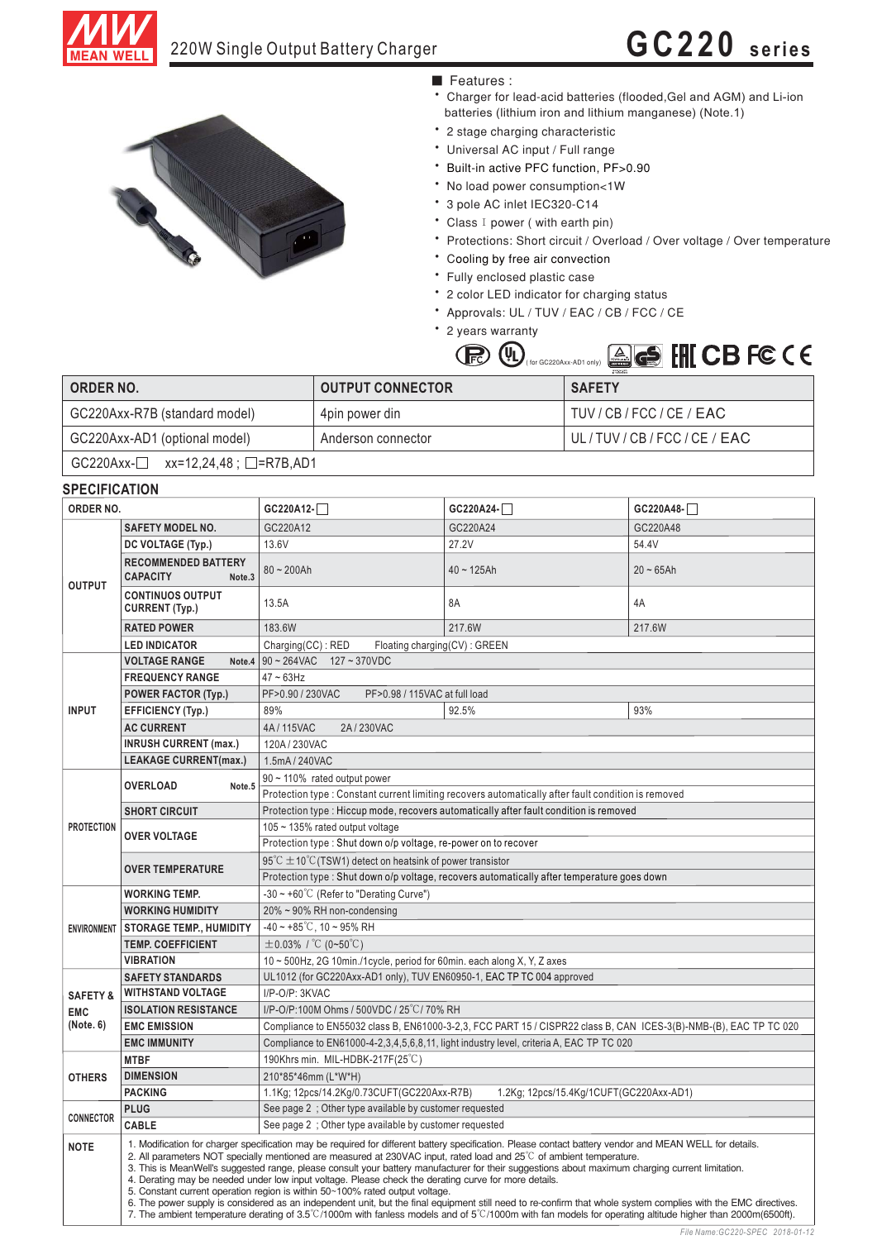

## 220W Single Output Battery Charger **GC220 series**



### ■ Features :

- Charger for lead-acid batteries (flooded, Gel and AGM) and Li-ion batteries (lithium iron and lithium manganese) (Note.1)
- \* 2 stage charging characteristic
- Universal AC input / Full range
- \* Built-in active PFC function, PF>0.90
- \* No load power consumption<1W
- \* 3 pole AC inlet IEC320-C14
- Class I power (with earth pin)
- Protections: Short circuit / Overload / Over voltage / Over temperature
- \* Cooling by free air convection
- \* Fully enclosed plastic case
- 2 color LED indicator for charging status
- Approvals: UL / TUV / EAC / CB / FCC / CE
- \* 2 years warranty

 $\mathbb{R}$ 



| <b>ORDER NO.</b>                              | <b>OUTPUT CONNECTOR</b> | <b>SAFETY</b>             |  |  |  |
|-----------------------------------------------|-------------------------|---------------------------|--|--|--|
| GC220Axx-R7B (standard model)                 | 4pin power din          | TUV / CB / FCC / CE / EAC |  |  |  |
| GC220Axx-AD1 (optional model)                 | Anderson connector      | UL/TUV/CB/FCC/CE/EAC      |  |  |  |
| $GC220Axx - $ xx=12,24,48; $\square$ =R7B,AD1 |                         |                           |  |  |  |

| ORDER NO.           |                                                                                                                                                                                                                                                                                                                                                                                                                                                                                                                                                                                                                                                                                                                                                                                                                                                                                                                                                                                         | GC220A12-                                                                                                                                                                                                    | GC220A24-                               | GC220A48-   |  |  |
|---------------------|-----------------------------------------------------------------------------------------------------------------------------------------------------------------------------------------------------------------------------------------------------------------------------------------------------------------------------------------------------------------------------------------------------------------------------------------------------------------------------------------------------------------------------------------------------------------------------------------------------------------------------------------------------------------------------------------------------------------------------------------------------------------------------------------------------------------------------------------------------------------------------------------------------------------------------------------------------------------------------------------|--------------------------------------------------------------------------------------------------------------------------------------------------------------------------------------------------------------|-----------------------------------------|-------------|--|--|
| <b>OUTPUT</b>       | <b>SAFETY MODEL NO.</b>                                                                                                                                                                                                                                                                                                                                                                                                                                                                                                                                                                                                                                                                                                                                                                                                                                                                                                                                                                 | GC220A12                                                                                                                                                                                                     | GC220A24                                | GC220A48    |  |  |
|                     | DC VOLTAGE (Typ.)                                                                                                                                                                                                                                                                                                                                                                                                                                                                                                                                                                                                                                                                                                                                                                                                                                                                                                                                                                       | 13.6V                                                                                                                                                                                                        | 27.2V                                   | 54.4V       |  |  |
|                     | <b>RECOMMENDED BATTERY</b><br><b>CAPACITY</b><br>Note <sub>.3</sub>                                                                                                                                                                                                                                                                                                                                                                                                                                                                                                                                                                                                                                                                                                                                                                                                                                                                                                                     | $80 - 200Ah$                                                                                                                                                                                                 | $40 - 125Ah$                            | $20 - 65Ah$ |  |  |
|                     | <b>CONTINUOS OUTPUT</b><br><b>CURRENT (Typ.)</b>                                                                                                                                                                                                                                                                                                                                                                                                                                                                                                                                                                                                                                                                                                                                                                                                                                                                                                                                        | 13.5A                                                                                                                                                                                                        | 8A                                      | 4A          |  |  |
|                     | <b>RATED POWER</b>                                                                                                                                                                                                                                                                                                                                                                                                                                                                                                                                                                                                                                                                                                                                                                                                                                                                                                                                                                      | 183.6W                                                                                                                                                                                                       | 217.6W                                  | 217.6W      |  |  |
|                     | <b>LED INDICATOR</b>                                                                                                                                                                                                                                                                                                                                                                                                                                                                                                                                                                                                                                                                                                                                                                                                                                                                                                                                                                    | Charging(CC): RED<br>Floating charging(CV): GREEN                                                                                                                                                            |                                         |             |  |  |
|                     | <b>VOLTAGE RANGE</b><br>Note.4                                                                                                                                                                                                                                                                                                                                                                                                                                                                                                                                                                                                                                                                                                                                                                                                                                                                                                                                                          | 90~264VAC 127~370VDC                                                                                                                                                                                         |                                         |             |  |  |
| <b>INPUT</b>        | <b>FREQUENCY RANGE</b>                                                                                                                                                                                                                                                                                                                                                                                                                                                                                                                                                                                                                                                                                                                                                                                                                                                                                                                                                                  | $47 \sim 63$ Hz                                                                                                                                                                                              |                                         |             |  |  |
|                     | <b>POWER FACTOR (Typ.)</b>                                                                                                                                                                                                                                                                                                                                                                                                                                                                                                                                                                                                                                                                                                                                                                                                                                                                                                                                                              | PF>0.90 / 230VAC<br>PF>0.98 / 115VAC at full load                                                                                                                                                            |                                         |             |  |  |
|                     | <b>EFFICIENCY (Typ.)</b>                                                                                                                                                                                                                                                                                                                                                                                                                                                                                                                                                                                                                                                                                                                                                                                                                                                                                                                                                                | 89%                                                                                                                                                                                                          | 92.5%                                   | 93%         |  |  |
|                     | <b>AC CURRENT</b>                                                                                                                                                                                                                                                                                                                                                                                                                                                                                                                                                                                                                                                                                                                                                                                                                                                                                                                                                                       | 4A/115VAC<br>2A/230VAC                                                                                                                                                                                       |                                         |             |  |  |
|                     | <b>INRUSH CURRENT (max.)</b>                                                                                                                                                                                                                                                                                                                                                                                                                                                                                                                                                                                                                                                                                                                                                                                                                                                                                                                                                            | 120A/230VAC                                                                                                                                                                                                  |                                         |             |  |  |
|                     | <b>LEAKAGE CURRENT(max.)</b>                                                                                                                                                                                                                                                                                                                                                                                                                                                                                                                                                                                                                                                                                                                                                                                                                                                                                                                                                            | 1.5mA/240VAC                                                                                                                                                                                                 |                                         |             |  |  |
|                     |                                                                                                                                                                                                                                                                                                                                                                                                                                                                                                                                                                                                                                                                                                                                                                                                                                                                                                                                                                                         | 90 ~ 110% rated output power                                                                                                                                                                                 |                                         |             |  |  |
| <b>PROTECTION</b>   | <b>OVERLOAD</b><br>Note.5                                                                                                                                                                                                                                                                                                                                                                                                                                                                                                                                                                                                                                                                                                                                                                                                                                                                                                                                                               | Protection type : Constant current limiting recovers automatically after fault condition is removed                                                                                                          |                                         |             |  |  |
|                     | <b>SHORT CIRCUIT</b>                                                                                                                                                                                                                                                                                                                                                                                                                                                                                                                                                                                                                                                                                                                                                                                                                                                                                                                                                                    | Protection type : Hiccup mode, recovers automatically after fault condition is removed                                                                                                                       |                                         |             |  |  |
|                     | <b>OVER VOLTAGE</b>                                                                                                                                                                                                                                                                                                                                                                                                                                                                                                                                                                                                                                                                                                                                                                                                                                                                                                                                                                     | 105 ~ 135% rated output voltage                                                                                                                                                                              |                                         |             |  |  |
|                     |                                                                                                                                                                                                                                                                                                                                                                                                                                                                                                                                                                                                                                                                                                                                                                                                                                                                                                                                                                                         | Protection type : Shut down o/p voltage, re-power on to recover                                                                                                                                              |                                         |             |  |  |
|                     |                                                                                                                                                                                                                                                                                                                                                                                                                                                                                                                                                                                                                                                                                                                                                                                                                                                                                                                                                                                         | $95^{\circ}$ C $\pm$ 10 <sup>°</sup> C (TSW1) detect on heatsink of power transistor                                                                                                                         |                                         |             |  |  |
|                     | <b>OVER TEMPERATURE</b>                                                                                                                                                                                                                                                                                                                                                                                                                                                                                                                                                                                                                                                                                                                                                                                                                                                                                                                                                                 | Protection type : Shut down o/p voltage, recovers automatically after temperature goes down                                                                                                                  |                                         |             |  |  |
|                     | <b>WORKING TEMP.</b>                                                                                                                                                                                                                                                                                                                                                                                                                                                                                                                                                                                                                                                                                                                                                                                                                                                                                                                                                                    | $-30 \sim +60^{\circ}$ (Refer to "Derating Curve")                                                                                                                                                           |                                         |             |  |  |
| <b>ENVIRONMENT</b>  | <b>WORKING HUMIDITY</b>                                                                                                                                                                                                                                                                                                                                                                                                                                                                                                                                                                                                                                                                                                                                                                                                                                                                                                                                                                 | 20% ~ 90% RH non-condensing                                                                                                                                                                                  |                                         |             |  |  |
|                     | <b>STORAGE TEMP., HUMIDITY</b>                                                                                                                                                                                                                                                                                                                                                                                                                                                                                                                                                                                                                                                                                                                                                                                                                                                                                                                                                          | $-40 \sim +85^{\circ}$ C, 10 ~ 95% RH                                                                                                                                                                        |                                         |             |  |  |
|                     | <b>TEMP. COEFFICIENT</b>                                                                                                                                                                                                                                                                                                                                                                                                                                                                                                                                                                                                                                                                                                                                                                                                                                                                                                                                                                | $\pm$ 0.03% / °C (0~50°C)                                                                                                                                                                                    |                                         |             |  |  |
|                     | <b>VIBRATION</b>                                                                                                                                                                                                                                                                                                                                                                                                                                                                                                                                                                                                                                                                                                                                                                                                                                                                                                                                                                        | 10 ~ 500Hz, 2G 10min./1cycle, period for 60min. each along X, Y, Z axes                                                                                                                                      |                                         |             |  |  |
|                     | <b>SAFETY STANDARDS</b>                                                                                                                                                                                                                                                                                                                                                                                                                                                                                                                                                                                                                                                                                                                                                                                                                                                                                                                                                                 | UL1012 (for GC220Axx-AD1 only), TUV EN60950-1, EAC TP TC 004 approved                                                                                                                                        |                                         |             |  |  |
| <b>SAFETY &amp;</b> | <b>WITHSTAND VOLTAGE</b>                                                                                                                                                                                                                                                                                                                                                                                                                                                                                                                                                                                                                                                                                                                                                                                                                                                                                                                                                                | I/P-O/P: 3KVAC                                                                                                                                                                                               |                                         |             |  |  |
| <b>EMC</b>          | <b>ISOLATION RESISTANCE</b>                                                                                                                                                                                                                                                                                                                                                                                                                                                                                                                                                                                                                                                                                                                                                                                                                                                                                                                                                             | I/P-O/P:100M Ohms / 500VDC / 25°C / 70% RH                                                                                                                                                                   |                                         |             |  |  |
| (Note. 6)           | <b>EMC EMISSION</b>                                                                                                                                                                                                                                                                                                                                                                                                                                                                                                                                                                                                                                                                                                                                                                                                                                                                                                                                                                     | Compliance to EN55032 class B, EN61000-3-2,3, FCC PART 15 / CISPR22 class B, CAN ICES-3(B)-NMB-(B), EAC TP TC 020<br>Compliance to EN61000-4-2,3,4,5,6,8,11, light industry level, criteria A, EAC TP TC 020 |                                         |             |  |  |
|                     | <b>EMC IMMUNITY</b>                                                                                                                                                                                                                                                                                                                                                                                                                                                                                                                                                                                                                                                                                                                                                                                                                                                                                                                                                                     |                                                                                                                                                                                                              |                                         |             |  |  |
|                     | <b>MTBF</b>                                                                                                                                                                                                                                                                                                                                                                                                                                                                                                                                                                                                                                                                                                                                                                                                                                                                                                                                                                             | 190Khrs min. MIL-HDBK-217F(25°C)                                                                                                                                                                             |                                         |             |  |  |
| <b>OTHERS</b>       | <b>DIMENSION</b>                                                                                                                                                                                                                                                                                                                                                                                                                                                                                                                                                                                                                                                                                                                                                                                                                                                                                                                                                                        | 210*85*46mm (L*W*H)                                                                                                                                                                                          |                                         |             |  |  |
|                     | <b>PACKING</b>                                                                                                                                                                                                                                                                                                                                                                                                                                                                                                                                                                                                                                                                                                                                                                                                                                                                                                                                                                          | 1.1Kg; 12pcs/14.2Kg/0.73CUFT(GC220Axx-R7B)                                                                                                                                                                   | 1.2Kg; 12pcs/15.4Kg/1CUFT(GC220Axx-AD1) |             |  |  |
| <b>CONNECTOR</b>    | <b>PLUG</b>                                                                                                                                                                                                                                                                                                                                                                                                                                                                                                                                                                                                                                                                                                                                                                                                                                                                                                                                                                             | See page 2 ; Other type available by customer requested                                                                                                                                                      |                                         |             |  |  |
|                     | <b>CABLE</b>                                                                                                                                                                                                                                                                                                                                                                                                                                                                                                                                                                                                                                                                                                                                                                                                                                                                                                                                                                            | See page 2 ; Other type available by customer requested                                                                                                                                                      |                                         |             |  |  |
| <b>NOTE</b>         | 1. Modification for charger specification may be required for different battery specification. Please contact battery vendor and MEAN WELL for details.<br>2. All parameters NOT specially mentioned are measured at 230VAC input, rated load and $25^{\circ}$ C of ambient temperature.<br>3. This is MeanWell's suggested range, please consult your battery manufacturer for their suggestions about maximum charging current limitation.<br>4. Derating may be needed under low input voltage. Please check the derating curve for more details.<br>5. Constant current operation region is within 50~100% rated output voltage.<br>6. The power supply is considered as an independent unit, but the final equipment still need to re-confirm that whole system complies with the EMC directives.<br>7. The ambient temperature derating of $3.5^{\circ}$ C/1000m with fanless models and of $5^{\circ}$ C/1000m with fan models for operating altitude higher than 2000m(6500ft). |                                                                                                                                                                                                              |                                         |             |  |  |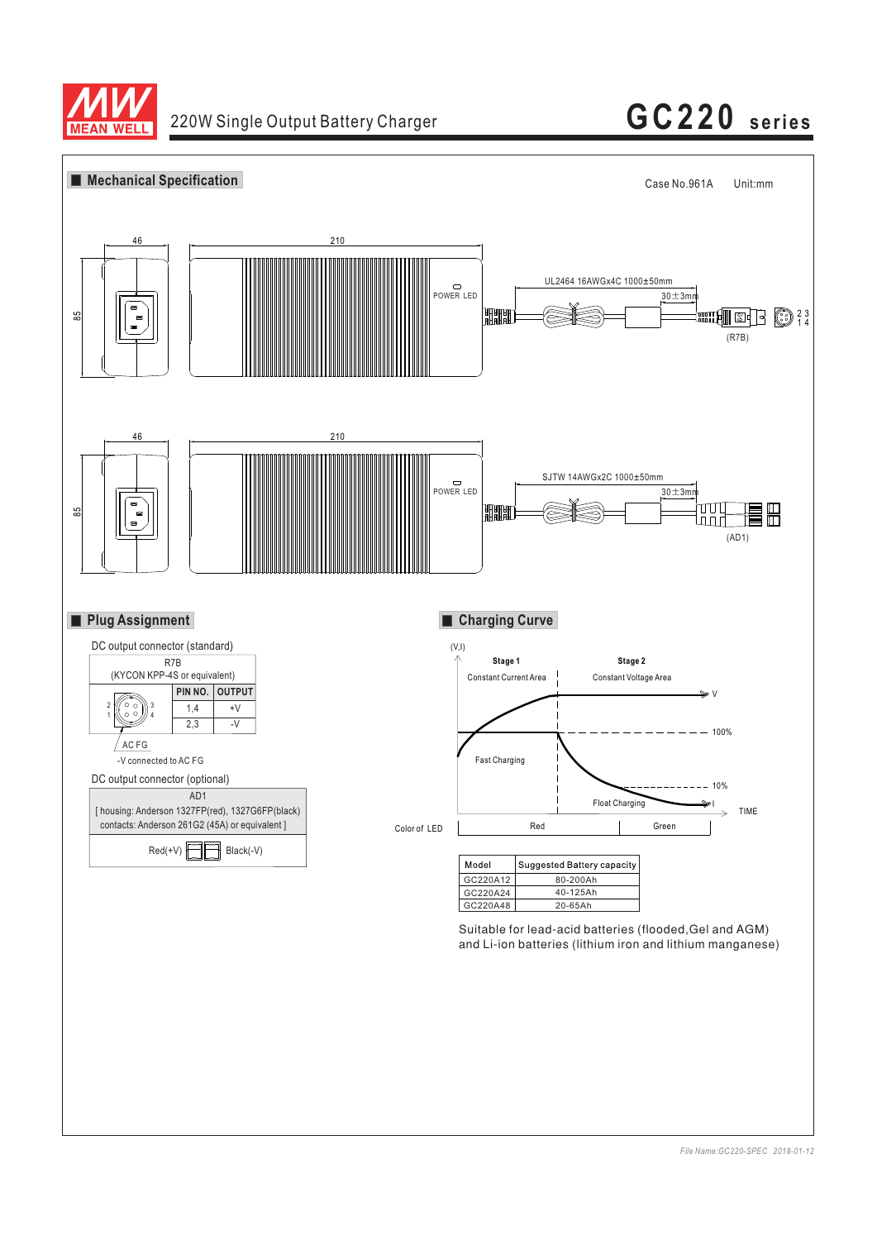

# 220W Single Output Battery Charger **GC220 series**